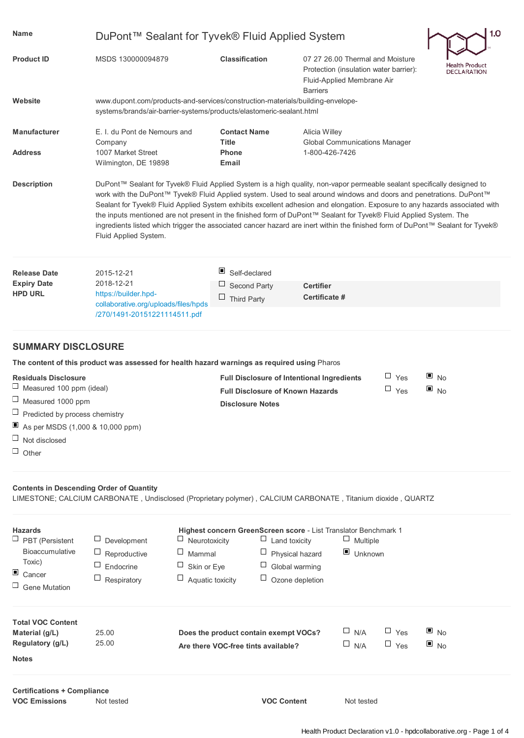| Name                                                       | DuPont™ Sealant for Tyvek® Fluid Applied System                                                                                                                                                                                                                                                                                                                                                                                                                                                                                                                                                                                                              |                                                                              |                                                                                                                             | 1.0                                    |  |  |  |
|------------------------------------------------------------|--------------------------------------------------------------------------------------------------------------------------------------------------------------------------------------------------------------------------------------------------------------------------------------------------------------------------------------------------------------------------------------------------------------------------------------------------------------------------------------------------------------------------------------------------------------------------------------------------------------------------------------------------------------|------------------------------------------------------------------------------|-----------------------------------------------------------------------------------------------------------------------------|----------------------------------------|--|--|--|
| <b>Product ID</b>                                          | MSDS 130000094879                                                                                                                                                                                                                                                                                                                                                                                                                                                                                                                                                                                                                                            | <b>Classification</b>                                                        | 07 27 26.00 Thermal and Moisture<br>Protection (insulation water barrier):<br>Fluid-Applied Membrane Air<br><b>Barriers</b> | Health Product<br><b>DECLARATION</b>   |  |  |  |
| Website                                                    | www.dupont.com/products-and-services/construction-materials/building-envelope-<br>systems/brands/air-barrier-systems/products/elastomeric-sealant.html                                                                                                                                                                                                                                                                                                                                                                                                                                                                                                       |                                                                              |                                                                                                                             |                                        |  |  |  |
| <b>Manufacturer</b>                                        | E. I. du Pont de Nemours and<br>Company                                                                                                                                                                                                                                                                                                                                                                                                                                                                                                                                                                                                                      | <b>Contact Name</b><br><b>Title</b>                                          | Alicia Willey<br><b>Global Communications Manager</b>                                                                       |                                        |  |  |  |
| <b>Address</b>                                             | 1007 Market Street<br>Wilmington, DE 19898                                                                                                                                                                                                                                                                                                                                                                                                                                                                                                                                                                                                                   | <b>Phone</b><br><b>Email</b>                                                 | 1-800-426-7426                                                                                                              |                                        |  |  |  |
| <b>Description</b>                                         | DuPont™ Sealant for Tyvek® Fluid Applied System is a high quality, non-vapor permeable sealant specifically designed to<br>work with the DuPont™ Tyvek® Fluid Applied system. Used to seal around windows and doors and penetrations. DuPont™<br>Sealant for Tyvek® Fluid Applied System exhibits excellent adhesion and elongation. Exposure to any hazards associated with<br>the inputs mentioned are not present in the finished form of DuPont™ Sealant for Tyvek® Fluid Applied System. The<br>ingredients listed which trigger the associated cancer hazard are inert within the finished form of DuPont™ Sealant for Tyvek®<br>Fluid Applied System. |                                                                              |                                                                                                                             |                                        |  |  |  |
| <b>Release Date</b>                                        | 2015-12-21                                                                                                                                                                                                                                                                                                                                                                                                                                                                                                                                                                                                                                                   | Self-declared                                                                |                                                                                                                             |                                        |  |  |  |
| <b>Expiry Date</b><br><b>HPD URL</b>                       | 2018-12-21<br>https://builder.hpd-                                                                                                                                                                                                                                                                                                                                                                                                                                                                                                                                                                                                                           | Second Party                                                                 | <b>Certifier</b><br>Certificate #                                                                                           |                                        |  |  |  |
|                                                            | collaborative.org/uploads/files/hpds<br>/270/1491-20151221114511.pdf                                                                                                                                                                                                                                                                                                                                                                                                                                                                                                                                                                                         | Ц<br><b>Third Party</b>                                                      |                                                                                                                             |                                        |  |  |  |
| <b>SUMMARY DISCLOSURE</b>                                  |                                                                                                                                                                                                                                                                                                                                                                                                                                                                                                                                                                                                                                                              |                                                                              |                                                                                                                             |                                        |  |  |  |
|                                                            | The content of this product was assessed for health hazard warnings as required using Pharos                                                                                                                                                                                                                                                                                                                                                                                                                                                                                                                                                                 |                                                                              |                                                                                                                             |                                        |  |  |  |
| <b>Residuals Disclosure</b><br>Measured 100 ppm (ideal)    |                                                                                                                                                                                                                                                                                                                                                                                                                                                                                                                                                                                                                                                              | <b>Full Disclosure of Known Hazards</b>                                      | $\Box$ Yes<br><b>Full Disclosure of Intentional Ingredients</b><br>$\Box$ Yes                                               | $\blacksquare$ No<br>$\blacksquare$ No |  |  |  |
| $\Box$ Measured 1000 ppm                                   |                                                                                                                                                                                                                                                                                                                                                                                                                                                                                                                                                                                                                                                              | <b>Disclosure Notes</b>                                                      |                                                                                                                             |                                        |  |  |  |
| ப<br>Predicted by process chemistry                        |                                                                                                                                                                                                                                                                                                                                                                                                                                                                                                                                                                                                                                                              |                                                                              |                                                                                                                             |                                        |  |  |  |
| As per MSDS $(1,000 \& 10,000$ ppm)                        |                                                                                                                                                                                                                                                                                                                                                                                                                                                                                                                                                                                                                                                              |                                                                              |                                                                                                                             |                                        |  |  |  |
| $\Box$<br>Not disclosed<br>$\Box$ Other                    |                                                                                                                                                                                                                                                                                                                                                                                                                                                                                                                                                                                                                                                              |                                                                              |                                                                                                                             |                                        |  |  |  |
| <b>Contents in Descending Order of Quantity</b>            |                                                                                                                                                                                                                                                                                                                                                                                                                                                                                                                                                                                                                                                              |                                                                              | LIMESTONE; CALCIUM CARBONATE, Undisclosed (Proprietary polymer), CALCIUM CARBONATE, Titanium dioxide, QUARTZ                |                                        |  |  |  |
|                                                            |                                                                                                                                                                                                                                                                                                                                                                                                                                                                                                                                                                                                                                                              |                                                                              |                                                                                                                             |                                        |  |  |  |
| <b>Hazards</b><br>$\Box$ PBT (Persistent                   | ц<br>Development                                                                                                                                                                                                                                                                                                                                                                                                                                                                                                                                                                                                                                             | Neurotoxicity<br>Ц                                                           | Highest concern GreenScreen score - List Translator Benchmark 1<br>$\Box$ Multiple<br>Land toxicity                         |                                        |  |  |  |
| Bioaccumulative                                            | $\Box$<br>$\Box$<br>Reproductive                                                                                                                                                                                                                                                                                                                                                                                                                                                                                                                                                                                                                             | $\Box$<br>Mammal                                                             | $\blacksquare$ Unknown<br>Physical hazard                                                                                   |                                        |  |  |  |
| Toxic)<br>ш                                                | Ц<br>ப<br>Endocrine                                                                                                                                                                                                                                                                                                                                                                                                                                                                                                                                                                                                                                          | Skin or Eye                                                                  | Global warming                                                                                                              |                                        |  |  |  |
| Cancer<br>$\Box$ Gene Mutation                             | Ц<br>Respiratory                                                                                                                                                                                                                                                                                                                                                                                                                                                                                                                                                                                                                                             | $\Box$<br>Aquatic toxicity                                                   | Ozone depletion                                                                                                             |                                        |  |  |  |
| <b>Total VOC Content</b>                                   |                                                                                                                                                                                                                                                                                                                                                                                                                                                                                                                                                                                                                                                              |                                                                              |                                                                                                                             |                                        |  |  |  |
| Material (g/L)<br>Regulatory (g/L)                         | 25.00<br>25.00                                                                                                                                                                                                                                                                                                                                                                                                                                                                                                                                                                                                                                               | Does the product contain exempt VOCs?<br>Are there VOC-free tints available? | $\Box$ N/A<br>$\Box$ Yes<br>$\square$ N/A<br>$\Box$ Yes                                                                     | $\blacksquare$ No<br>$\blacksquare$ No |  |  |  |
| <b>Notes</b>                                               |                                                                                                                                                                                                                                                                                                                                                                                                                                                                                                                                                                                                                                                              |                                                                              |                                                                                                                             |                                        |  |  |  |
| <b>Certifications + Compliance</b><br><b>VOC Emissions</b> | Not tested                                                                                                                                                                                                                                                                                                                                                                                                                                                                                                                                                                                                                                                   |                                                                              | <b>VOC Content</b><br>Not tested                                                                                            |                                        |  |  |  |
|                                                            |                                                                                                                                                                                                                                                                                                                                                                                                                                                                                                                                                                                                                                                              |                                                                              |                                                                                                                             |                                        |  |  |  |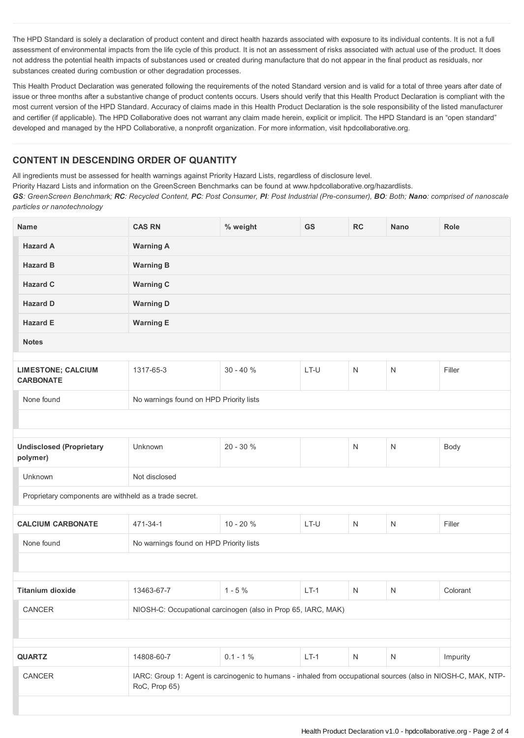The HPD Standard is solely a declaration of product content and direct health hazards associated with exposure to its individual contents. It is not a full assessment of environmental impacts from the life cycle of this product. It is not an assessment of risks associated with actual use of the product. It does not address the potential health impacts of substances used or created during manufacture that do not appear in the final product as residuals, nor substances created during combustion or other degradation processes.

This Health Product Declaration was generated following the requirements of the noted Standard version and is valid for a total of three years after date of issue or three months after a substantive change of product contents occurs. Users should verify that this Health Product Declaration is compliant with the most current version of the HPD Standard. Accuracy of claims made in this Health Product Declaration is the sole responsibility of the listed manufacturer and certifier (if applicable). The HPD Collaborative does not warrant any claim made herein, explicit or implicit. The HPD Standard is an "open standard" developed and managed by the HPD Collaborative, a nonprofit organization. For more information, visit hpdcollaborative.org.

## **CONTENT IN DESCENDING ORDER OF QUANTITY**

All ingredients must be assessed for health warnings against Priority Hazard Lists, regardless of disclosure level.

Priority Hazard Lists and information on the GreenScreen Benchmarks can be found at www.hpdcollaborative.org/hazardlists.

GS: GreenScreen Benchmark; RC: Recycled Content, PC: Post Consumer, PI: Post Industrial (Pre-consumer), BO: Both; Nano: comprised of nanoscale *particles or nanotechnology*

| <b>Name</b>                                            | <b>CAS RN</b>                                                                                                                   | % weight    | GS     | RC           | <b>Nano</b>  | Role     |
|--------------------------------------------------------|---------------------------------------------------------------------------------------------------------------------------------|-------------|--------|--------------|--------------|----------|
| <b>Hazard A</b>                                        | <b>Warning A</b>                                                                                                                |             |        |              |              |          |
| <b>Hazard B</b>                                        | <b>Warning B</b>                                                                                                                |             |        |              |              |          |
| <b>Hazard C</b>                                        | <b>Warning C</b>                                                                                                                |             |        |              |              |          |
| <b>Hazard D</b>                                        | <b>Warning D</b>                                                                                                                |             |        |              |              |          |
| <b>Hazard E</b>                                        | <b>Warning E</b>                                                                                                                |             |        |              |              |          |
| <b>Notes</b>                                           |                                                                                                                                 |             |        |              |              |          |
| <b>LIMESTONE; CALCIUM</b><br><b>CARBONATE</b>          | 1317-65-3                                                                                                                       | $30 - 40%$  | LT-U   | $\mathsf{N}$ | ${\sf N}$    | Filler   |
| None found                                             | No warnings found on HPD Priority lists                                                                                         |             |        |              |              |          |
|                                                        |                                                                                                                                 |             |        |              |              |          |
|                                                        |                                                                                                                                 |             |        |              |              |          |
| <b>Undisclosed (Proprietary</b><br>polymer)            | Unknown                                                                                                                         | 20 - 30 %   |        | $\mathsf{N}$ | N            | Body     |
| Unknown                                                | Not disclosed                                                                                                                   |             |        |              |              |          |
| Proprietary components are withheld as a trade secret. |                                                                                                                                 |             |        |              |              |          |
|                                                        |                                                                                                                                 |             |        |              |              |          |
| <b>CALCIUM CARBONATE</b>                               | 471-34-1                                                                                                                        | $10 - 20%$  | LT-U   | $\mathsf{N}$ | $\mathsf{N}$ | Filler   |
| None found                                             | No warnings found on HPD Priority lists                                                                                         |             |        |              |              |          |
|                                                        |                                                                                                                                 |             |        |              |              |          |
|                                                        |                                                                                                                                 |             |        |              |              |          |
| <b>Titanium dioxide</b>                                | 13463-67-7                                                                                                                      | $1 - 5%$    | $LT-1$ | $\mathsf{N}$ | $\mathsf{N}$ | Colorant |
| CANCER                                                 | NIOSH-C: Occupational carcinogen (also in Prop 65, IARC, MAK)                                                                   |             |        |              |              |          |
|                                                        |                                                                                                                                 |             |        |              |              |          |
| <b>QUARTZ</b>                                          | 14808-60-7                                                                                                                      | $0.1 - 1 %$ | $LT-1$ | ${\sf N}$    | ${\sf N}$    | Impurity |
|                                                        |                                                                                                                                 |             |        |              |              |          |
| CANCER                                                 | IARC: Group 1: Agent is carcinogenic to humans - inhaled from occupational sources (also in NIOSH-C, MAK, NTP-<br>RoC, Prop 65) |             |        |              |              |          |
|                                                        |                                                                                                                                 |             |        |              |              |          |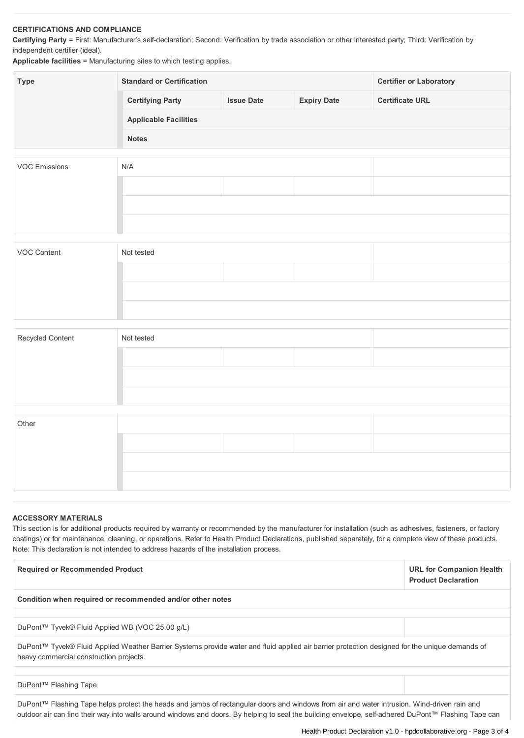## **CERTIFICATIONS AND COMPLIANCE**

**Certifying Party** = First: Manufacturer's self-declaration; Second: Verification by trade association or other interested party; Third: Verification by independent certifier (ideal).

**Applicable facilities** = Manufacturing sites to which testing applies.

| Type                 | <b>Standard or Certification</b> |                   |                    | <b>Certifier or Laboratory</b> |  |  |
|----------------------|----------------------------------|-------------------|--------------------|--------------------------------|--|--|
|                      | <b>Certifying Party</b>          | <b>Issue Date</b> | <b>Expiry Date</b> | <b>Certificate URL</b>         |  |  |
|                      | <b>Applicable Facilities</b>     |                   |                    |                                |  |  |
|                      | <b>Notes</b>                     |                   |                    |                                |  |  |
| <b>VOC Emissions</b> | N/A                              |                   |                    |                                |  |  |
|                      |                                  |                   |                    |                                |  |  |
|                      |                                  |                   |                    |                                |  |  |
|                      |                                  |                   |                    |                                |  |  |
|                      |                                  |                   |                    |                                |  |  |
| VOC Content          | Not tested                       |                   |                    |                                |  |  |
|                      |                                  |                   |                    |                                |  |  |
|                      |                                  |                   |                    |                                |  |  |
|                      |                                  |                   |                    |                                |  |  |
|                      |                                  |                   |                    |                                |  |  |
| Recycled Content     | Not tested                       |                   |                    |                                |  |  |
|                      |                                  |                   |                    |                                |  |  |
|                      |                                  |                   |                    |                                |  |  |
|                      |                                  |                   |                    |                                |  |  |
|                      |                                  |                   |                    |                                |  |  |
| Other                |                                  |                   |                    |                                |  |  |
|                      |                                  |                   |                    |                                |  |  |
|                      |                                  |                   |                    |                                |  |  |
|                      |                                  |                   |                    |                                |  |  |

## **ACCESSORY MATERIALS**

This section is for additional products required by warranty or recommended by the manufacturer for installation (such as adhesives, fasteners, or factory coatings) or for maintenance, cleaning, or operations. Refer to Health Product Declarations, published separately, for a complete view of these products. Note: This declaration is not intended to address hazards of the installation process.

| <b>Required or Recommended Product</b>                                                                                                                                                    | <b>URL for Companion Health</b><br><b>Product Declaration</b> |  |  |  |
|-------------------------------------------------------------------------------------------------------------------------------------------------------------------------------------------|---------------------------------------------------------------|--|--|--|
| Condition when required or recommended and/or other notes                                                                                                                                 |                                                               |  |  |  |
| DuPont™ Tyvek® Fluid Applied WB (VOC 25.00 g/L)                                                                                                                                           |                                                               |  |  |  |
| DuPont™ Tyvek® Fluid Applied Weather Barrier Systems provide water and fluid applied air barrier protection designed for the unique demands of<br>heavy commercial construction projects. |                                                               |  |  |  |
| DuPont™ Flashing Tape                                                                                                                                                                     |                                                               |  |  |  |

DuPont™ Flashing Tape helps protect the heads and jambs of rectangular doors and windows from air and water intrusion. Wind-driven rain and outdoor air can find their way into walls around windows and doors. By helping to seal the building envelope, self-adhered DuPont™ Flashing Tape can